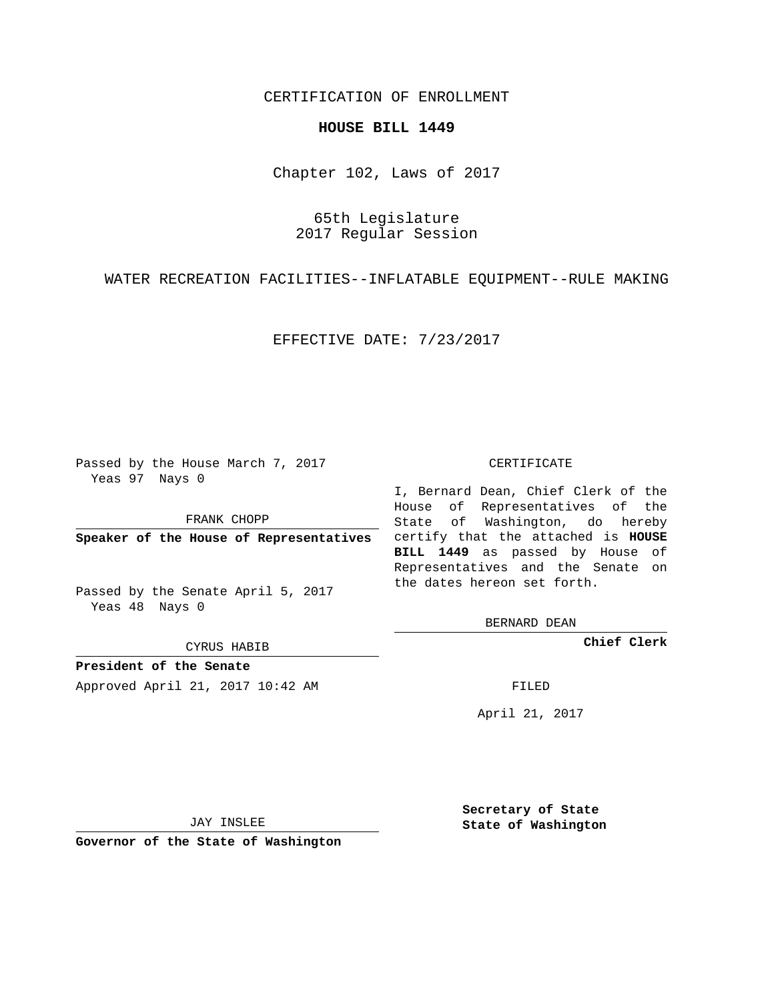CERTIFICATION OF ENROLLMENT

## **HOUSE BILL 1449**

Chapter 102, Laws of 2017

65th Legislature 2017 Regular Session

WATER RECREATION FACILITIES--INFLATABLE EQUIPMENT--RULE MAKING

EFFECTIVE DATE: 7/23/2017

Passed by the House March 7, 2017 Yeas 97 Nays 0

FRANK CHOPP

Passed by the Senate April 5, 2017 Yeas 48 Nays 0

CYRUS HABIB

**President of the Senate**

Approved April 21, 2017 10:42 AM FILED

## CERTIFICATE

**Speaker of the House of Representatives** certify that the attached is **HOUSE** I, Bernard Dean, Chief Clerk of the House of Representatives of the State of Washington, do hereby **BILL 1449** as passed by House of Representatives and the Senate on the dates hereon set forth.

BERNARD DEAN

**Chief Clerk**

April 21, 2017

JAY INSLEE

**Governor of the State of Washington**

**Secretary of State State of Washington**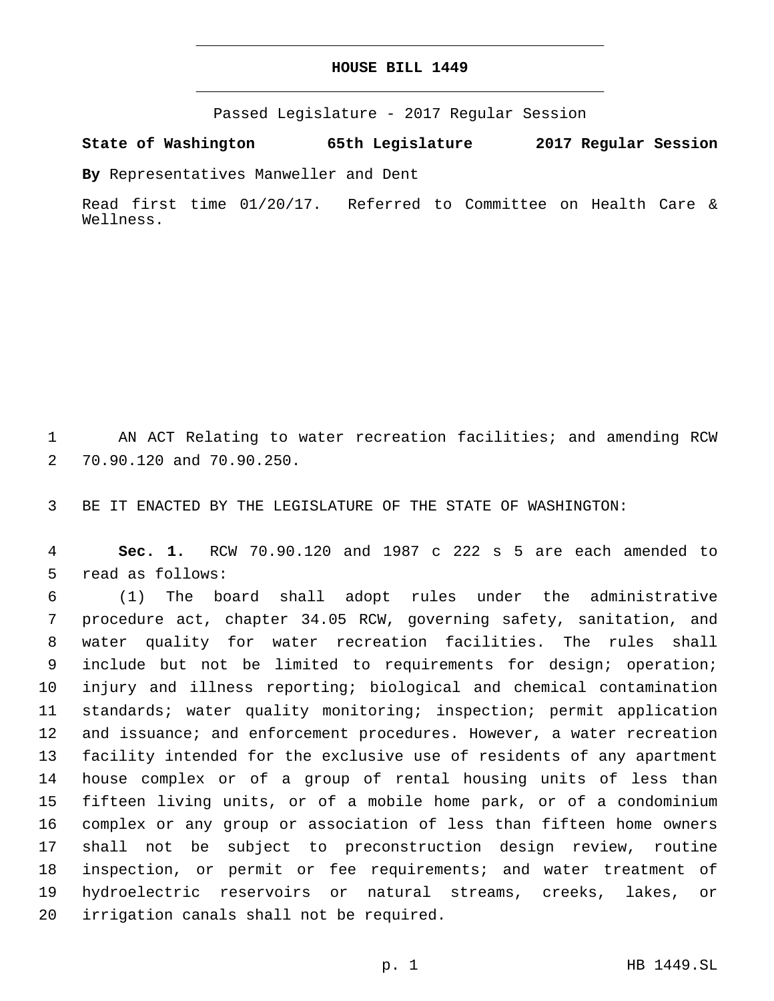## **HOUSE BILL 1449**

Passed Legislature - 2017 Regular Session

**State of Washington 65th Legislature 2017 Regular Session**

**By** Representatives Manweller and Dent

Read first time 01/20/17. Referred to Committee on Health Care & Wellness.

1 AN ACT Relating to water recreation facilities; and amending RCW 2 70.90.120 and 70.90.250.

3 BE IT ENACTED BY THE LEGISLATURE OF THE STATE OF WASHINGTON:

4 **Sec. 1.** RCW 70.90.120 and 1987 c 222 s 5 are each amended to 5 read as follows:

 (1) The board shall adopt rules under the administrative procedure act, chapter 34.05 RCW, governing safety, sanitation, and water quality for water recreation facilities. The rules shall include but not be limited to requirements for design; operation; injury and illness reporting; biological and chemical contamination standards; water quality monitoring; inspection; permit application 12 and issuance; and enforcement procedures. However, a water recreation facility intended for the exclusive use of residents of any apartment house complex or of a group of rental housing units of less than fifteen living units, or of a mobile home park, or of a condominium complex or any group or association of less than fifteen home owners shall not be subject to preconstruction design review, routine inspection, or permit or fee requirements; and water treatment of hydroelectric reservoirs or natural streams, creeks, lakes, or 20 irrigation canals shall not be required.